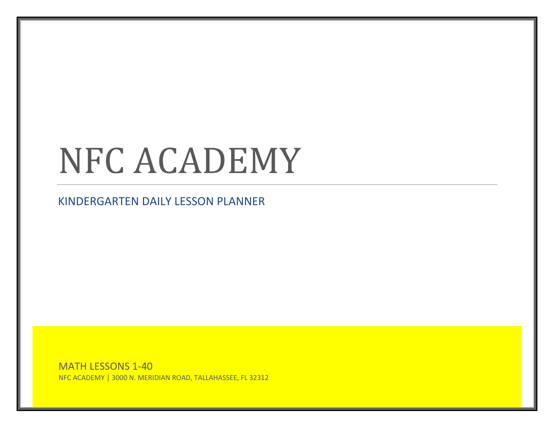# NFC ACADEMY

KINDERGARTEN DAILY LESSON PLANNER

MATH LESSONS 1-40 NFC ACADEMY | 3000 N. MERIDIAN ROAD, TALLAHASSEE, FL 32312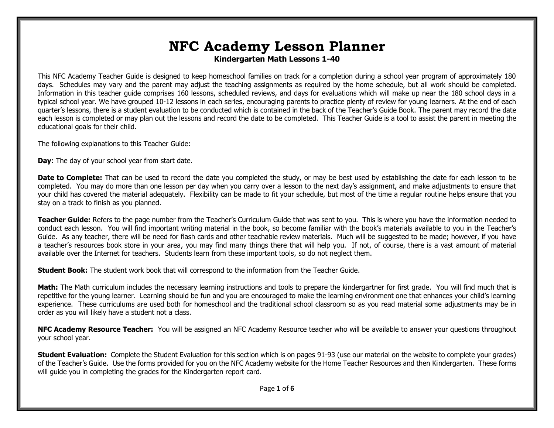# **NFC Academy Lesson Planner Kindergarten Math Lessons 1-40**

This NFC Academy Teacher Guide is designed to keep homeschool families on track for a completion during a school year program of approximately 180 days. Schedules may vary and the parent may adjust the teaching assignments as required by the home schedule, but all work should be completed. Information in this teacher guide comprises 160 lessons, scheduled reviews, and days for evaluations which will make up near the 180 school days in a typical school year. We have grouped 10-12 lessons in each series, encouraging parents to practice plenty of review for young learners. At the end of each quarter's lessons, there is a student evaluation to be conducted which is contained in the back of the Teacher's Guide Book. The parent may record the date each lesson is completed or may plan out the lessons and record the date to be completed. This Teacher Guide is a tool to assist the parent in meeting the educational goals for their child.

The following explanations to this Teacher Guide:

**Day**: The day of your school year from start date.

**Date to Complete:** That can be used to record the date you completed the study, or may be best used by establishing the date for each lesson to be completed. You may do more than one lesson per day when you carry over a lesson to the next day's assignment, and make adjustments to ensure that your child has covered the material adequately. Flexibility can be made to fit your schedule, but most of the time a regular routine helps ensure that you stay on a track to finish as you planned.

**Teacher Guide:** Refers to the page number from the Teacher's Curriculum Guide that was sent to you. This is where you have the information needed to conduct each lesson. You will find important writing material in the book, so become familiar with the book's materials available to you in the Teacher's Guide. As any teacher, there will be need for flash cards and other teachable review materials. Much will be suggested to be made; however, if you have a teacher's resources book store in your area, you may find many things there that will help you. If not, of course, there is a vast amount of material available over the Internet for teachers. Students learn from these important tools, so do not neglect them.

**Student Book:** The student work book that will correspond to the information from the Teacher Guide.

**Math:** The Math curriculum includes the necessary learning instructions and tools to prepare the kindergartner for first grade. You will find much that is repetitive for the young learner. Learning should be fun and you are encouraged to make the learning environment one that enhances your child's learning experience. These curriculums are used both for homeschool and the traditional school classroom so as you read material some adjustments may be in order as you will likely have a student not a class.

**NFC Academy Resource Teacher:** You will be assigned an NFC Academy Resource teacher who will be available to answer your questions throughout your school year.

**Student Evaluation:** Complete the Student Evaluation for this section which is on pages 91-93 (use our material on the website to complete your grades) of the Teacher's Guide. Use the forms provided for you on the NFC Academy website for the Home Teacher Resources and then Kindergarten. These forms will guide you in completing the grades for the Kindergarten report card.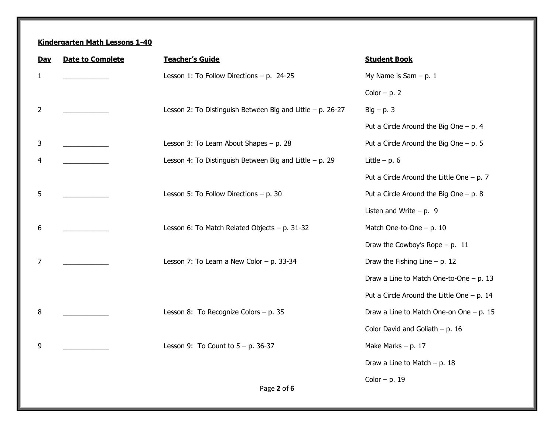| <b>Day</b>   | <b>Date to Complete</b> | <b>Teacher's Guide</b>                                       | <b>Student Book</b>                           |
|--------------|-------------------------|--------------------------------------------------------------|-----------------------------------------------|
| $\mathbf{1}$ |                         | Lesson 1: To Follow Directions $- p$ . 24-25                 | My Name is Sam $- p. 1$                       |
|              |                         |                                                              | Color $- p. 2$                                |
| 2            |                         | Lesson 2: To Distinguish Between Big and Little $-$ p. 26-27 | $Big - p. 3$                                  |
|              |                         |                                                              | Put a Circle Around the Big One $- p. 4 $     |
| 3            |                         | Lesson 3: To Learn About Shapes - p. 28                      | Put a Circle Around the Big One $- p. 5$      |
| 4            |                         | Lesson 4: To Distinguish Between Big and Little $- p$ . 29   | Little $- p. 6$                               |
|              |                         |                                                              | Put a Circle Around the Little One $-$ p. 7   |
| 5            |                         | Lesson 5: To Follow Directions $- p. 30$                     | Put a Circle Around the Big One $- p. 8 $     |
|              |                         |                                                              | Listen and Write $- p. 9$                     |
| 6            |                         | Lesson 6: To Match Related Objects - p. 31-32                | Match One-to-One $- p. 10$                    |
|              |                         |                                                              | Draw the Cowboy's Rope $- p. 11$              |
| 7            |                         | Lesson 7: To Learn a New Color - p. 33-34                    | Draw the Fishing Line $- p. 12$               |
|              |                         |                                                              | Draw a Line to Match One-to-One $- p. 13$     |
|              |                         |                                                              | Put a Circle Around the Little One $- p$ . 14 |
| 8            |                         | Lesson 8: To Recognize Colors - p. 35                        | Draw a Line to Match One-on One $- p. 15$     |
|              |                         |                                                              | Color David and Goliath $- p. 16$             |
| 9            |                         | Lesson 9: To Count to $5 - p$ . 36-37                        | Make Marks $- p. 17$                          |
|              |                         |                                                              | Draw a Line to Match $- p. 18$                |
|              |                         | Page 2 of 6                                                  | Color $- p. 19$                               |
|              |                         |                                                              |                                               |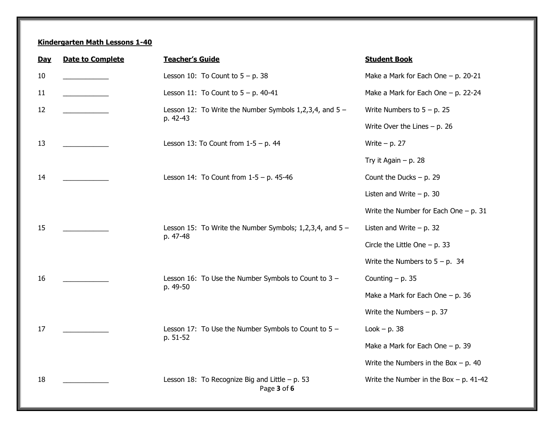| <b>Day</b> | <b>Date to Complete</b> | <b>Teacher's Guide</b>                                                    | <b>Student Book</b>                       |
|------------|-------------------------|---------------------------------------------------------------------------|-------------------------------------------|
| 10         |                         | Lesson 10: To Count to $5 - p$ . 38                                       | Make a Mark for Each One $-$ p. 20-21     |
| 11         |                         | Lesson 11: To Count to $5 - p$ . 40-41                                    | Make a Mark for Each One $-$ p. 22-24     |
| 12         |                         | Lesson 12: To Write the Number Symbols $1,2,3,4$ , and $5 -$<br>p. 42-43  | Write Numbers to $5 - p$ . 25             |
|            |                         |                                                                           | Write Over the Lines $- p. 26$            |
| 13         |                         | Lesson 13: To Count from $1-5 - p$ . 44                                   | Write $- p. 27$                           |
|            |                         |                                                                           | Try it Again $- p$ . 28                   |
| 14         |                         | Lesson 14: To Count from $1-5 - p$ . 45-46                                | Count the Ducks $- p. 29$                 |
|            |                         |                                                                           | Listen and Write $- p. 30$                |
|            |                         |                                                                           | Write the Number for Each One $- p. 31$   |
| 15         |                         | Lesson 15: To Write the Number Symbols; $1,2,3,4$ , and $5 -$<br>p. 47-48 | Listen and Write $- p. 32$                |
|            |                         |                                                                           | Circle the Little One $- p. 33$           |
|            |                         |                                                                           | Write the Numbers to $5 - p$ . 34         |
| 16         |                         | Lesson 16: To Use the Number Symbols to Count to 3 -<br>p. 49-50          | Counting $- p. 35$                        |
|            |                         |                                                                           | Make a Mark for Each One $- p$ . 36       |
|            |                         |                                                                           | Write the Numbers $- p. 37$               |
| 17         |                         | Lesson 17: To Use the Number Symbols to Count to $5 -$<br>p. 51-52        | Look $- p. 38$                            |
|            |                         |                                                                           | Make a Mark for Each One $- p$ . 39       |
|            |                         |                                                                           | Write the Numbers in the Box $- p$ . 40   |
| 18         |                         | Lesson 18: To Recognize Big and Little $- p. 53$<br>Page 3 of 6           | Write the Number in the Box $- p$ . 41-42 |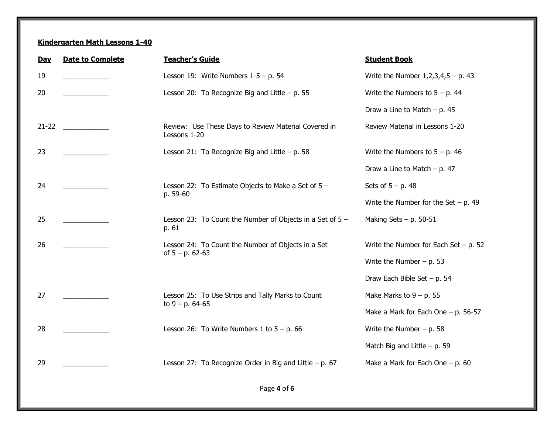| <b>Day</b> | <b>Date to Complete</b> | <b>Teacher's Guide</b>                                                   | <b>Student Book</b>                       |
|------------|-------------------------|--------------------------------------------------------------------------|-------------------------------------------|
| 19         |                         | Lesson 19: Write Numbers $1-5 - p$ . 54                                  | Write the Number $1, 2, 3, 4, 5 - p$ . 43 |
| 20         |                         | Lesson 20: To Recognize Big and Little $- p. 55$                         | Write the Numbers to $5 - p$ . 44         |
|            |                         |                                                                          | Draw a Line to Match $- p. 45$            |
| $21 - 22$  |                         | Review: Use These Days to Review Material Covered in<br>Lessons 1-20     | Review Material in Lessons 1-20           |
| 23         |                         | Lesson 21: To Recognize Big and Little $- p. 58$                         | Write the Numbers to $5 - p$ . 46         |
|            |                         |                                                                          | Draw a Line to Match $- p. 47$            |
| 24         |                         | Lesson 22: To Estimate Objects to Make a Set of $5 -$<br>p. 59-60        | Sets of $5 - p$ . 48                      |
|            |                         |                                                                          | Write the Number for the Set $- p$ . 49   |
| 25         |                         | Lesson 23: To Count the Number of Objects in a Set of $5 -$<br>p. 61     | Making Sets $- p$ . 50-51                 |
| 26         |                         | Lesson 24: To Count the Number of Objects in a Set<br>of $5 - p$ . 62-63 | Write the Number for Each Set $- p. 52$   |
|            |                         |                                                                          | Write the Number $- p. 53$                |
|            |                         |                                                                          | Draw Each Bible Set $- p. 54$             |
| 27         |                         | Lesson 25: To Use Strips and Tally Marks to Count<br>to $9 - p$ . 64-65  | Make Marks to $9 - p$ . 55                |
|            |                         |                                                                          | Make a Mark for Each One $- p$ . 56-57    |
| 28         |                         | Lesson 26: To Write Numbers 1 to $5 - p$ . 66                            | Write the Number $- p. 58$                |
|            |                         |                                                                          | Match Big and Little $- p$ . 59           |
| 29         |                         | Lesson 27: To Recognize Order in Big and Little $- p. 67$                | Make a Mark for Each One $- p$ . 60       |
|            |                         |                                                                          |                                           |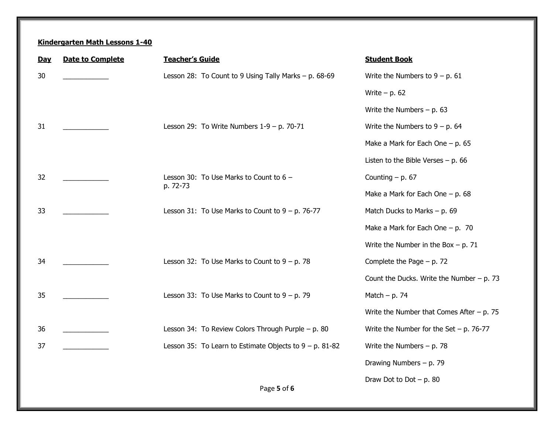| Day | <b>Date to Complete</b> | <b>Teacher's Guide</b>                                     | <b>Student Book</b>                         |
|-----|-------------------------|------------------------------------------------------------|---------------------------------------------|
| 30  |                         | Lesson 28: To Count to 9 Using Tally Marks - p. 68-69      | Write the Numbers to $9 - p$ . 61           |
|     |                         |                                                            | Write $- p. 62$                             |
|     |                         |                                                            | Write the Numbers $- p. 63$                 |
| 31  |                         | Lesson 29: To Write Numbers $1-9 - p$ . 70-71              | Write the Numbers to $9 - p$ . 64           |
|     |                         |                                                            | Make a Mark for Each One $- p. 65$          |
|     |                         |                                                            | Listen to the Bible Verses $- p$ . 66       |
| 32  |                         | Lesson 30: To Use Marks to Count to $6 -$<br>p. 72-73      | Counting $- p. 67$                          |
|     |                         |                                                            | Make a Mark for Each One $- p. 68$          |
| 33  |                         | Lesson 31: To Use Marks to Count to $9 - p$ . 76-77        | Match Ducks to Marks $- p. 69$              |
|     |                         |                                                            | Make a Mark for Each One $- p$ . 70         |
|     |                         |                                                            | Write the Number in the Box $- p$ . 71      |
| 34  |                         | Lesson 32: To Use Marks to Count to $9 - p$ . 78           | Complete the Page $- p. 72$                 |
|     |                         |                                                            | Count the Ducks. Write the Number $- p. 73$ |
| 35  |                         | Lesson 33: To Use Marks to Count to $9 - p$ . 79           | Match $- p. 74$                             |
|     |                         |                                                            | Write the Number that Comes After $- p. 75$ |
| 36  |                         | Lesson 34: To Review Colors Through Purple - p. 80         | Write the Number for the Set $-$ p. 76-77   |
| 37  |                         | Lesson 35: To Learn to Estimate Objects to $9 - p$ . 81-82 | Write the Numbers $- p. 78$                 |
|     |                         |                                                            | Drawing Numbers $- p. 79$                   |
|     |                         |                                                            | Draw Dot to Dot $- p. 80$                   |